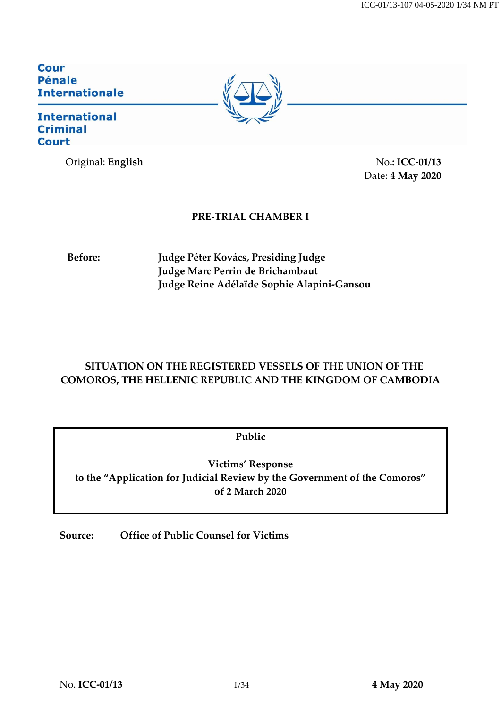ICC-01/13-107 04-05-2020 1/34 NM PT

**Cour Pénale Internationale** 

## **International Criminal Court**

Original: **English** No.: **ICC-01/13** 



Date: **4 May 2020**

# **PRE-TRIAL CHAMBER I**

**Before: Judge Péter Kovács, Presiding Judge Judge Marc Perrin de Brichambaut Judge Reine Adélaïde Sophie Alapini-Gansou**

# **SITUATION ON THE REGISTERED VESSELS OF THE UNION OF THE COMOROS, THE HELLENIC REPUBLIC AND THE KINGDOM OF CAMBODIA**

**Public** 

**Victims' Response to the "Application for Judicial Review by the Government of the Comoros" of 2 March 2020**

**Source: Office of Public Counsel for Victims**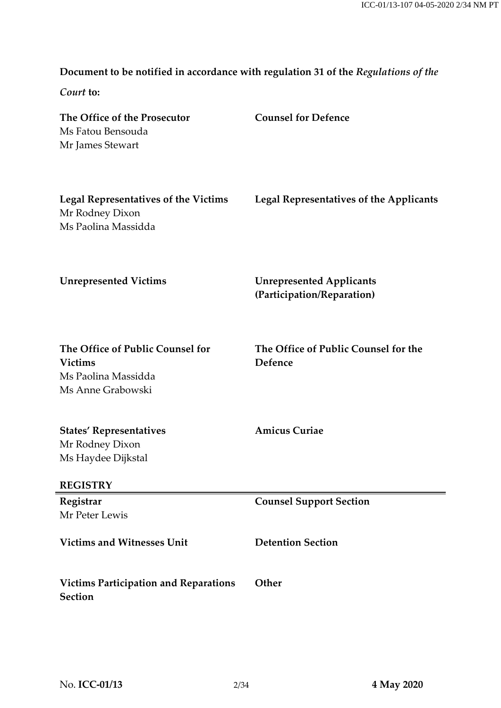# **Document to be notified in accordance with regulation 31 of the** *Regulations of the*

*Court* **to:**

| The Office of the Prosecutor<br>Ms Fatou Bensouda<br>Mr James Stewart                          | <b>Counsel for Defence</b>                                    |
|------------------------------------------------------------------------------------------------|---------------------------------------------------------------|
| <b>Legal Representatives of the Victims</b><br>Mr Rodney Dixon<br>Ms Paolina Massidda          | <b>Legal Representatives of the Applicants</b>                |
| <b>Unrepresented Victims</b>                                                                   | <b>Unrepresented Applicants</b><br>(Participation/Reparation) |
| The Office of Public Counsel for<br><b>Victims</b><br>Ms Paolina Massidda<br>Ms Anne Grabowski | The Office of Public Counsel for the<br>Defence               |
| <b>States' Representatives</b><br>Mr Rodney Dixon<br>Ms Haydee Dijkstal<br><b>REGISTRY</b>     | <b>Amicus Curiae</b>                                          |
| Registrar                                                                                      | <b>Counsel Support Section</b>                                |
| Mr Peter Lewis                                                                                 |                                                               |
| <b>Victims and Witnesses Unit</b>                                                              | <b>Detention Section</b>                                      |
| <b>Victims Participation and Reparations</b><br><b>Section</b>                                 | Other                                                         |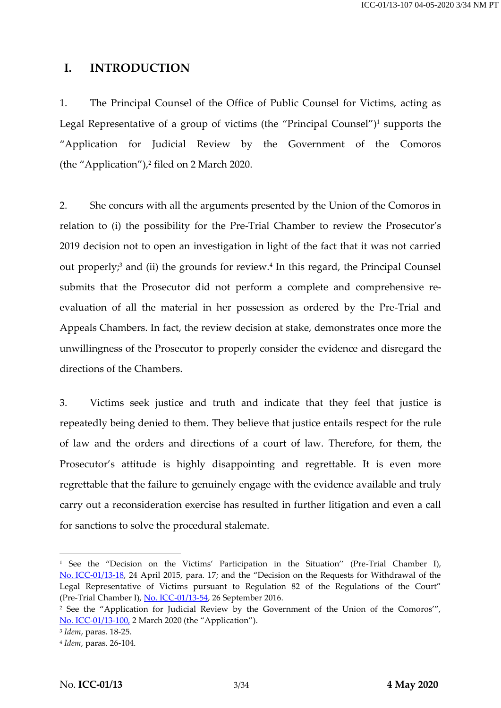## **I. INTRODUCTION**

1. The Principal Counsel of the Office of Public Counsel for Victims, acting as Legal Representative of a group of victims (the "Principal Counsel")<sup>1</sup> supports the "Application for Judicial Review by the Government of the Comoros (the "Application"), 2 filed on 2 March 2020.

<span id="page-2-0"></span>2. She concurs with all the arguments presented by the Union of the Comoros in relation to (i) the possibility for the Pre-Trial Chamber to review the Prosecutor's 2019 decision not to open an investigation in light of the fact that it was not carried out properly;<sup>3</sup> and (ii) the grounds for review.<sup>4</sup> In this regard, the Principal Counsel submits that the Prosecutor did not perform a complete and comprehensive reevaluation of all the material in her possession as ordered by the Pre-Trial and Appeals Chambers. In fact, the review decision at stake, demonstrates once more the unwillingness of the Prosecutor to properly consider the evidence and disregard the directions of the Chambers.

3. Victims seek justice and truth and indicate that they feel that justice is repeatedly being denied to them. They believe that justice entails respect for the rule of law and the orders and directions of a court of law. Therefore, for them, the Prosecutor's attitude is highly disappointing and regrettable. It is even more regrettable that the failure to genuinely engage with the evidence available and truly carry out a reconsideration exercise has resulted in further litigation and even a call for sanctions to solve the procedural stalemate.

<sup>&</sup>lt;sup>1</sup> See the "Decision on the Victims' Participation in the Situation'' (Pre-Trial Chamber I), No. [ICC-01/13-18,](https://www.icc-cpi.int/CourtRecords/CR2015_04119.PDF) 24 April 2015, para. 17; and the "Decision on the Requests for Withdrawal of the Legal Representative of Victims pursuant to Regulation 82 of the Regulations of the Court" (Pre-Trial Chamber I), [No. ICC-01/13-54,](https://www.icc-cpi.int/CourtRecords/CR2016_06853.PDF) 26 September 2016.

<sup>&</sup>lt;sup>2</sup> See the "Application for Judicial Review by the Government of the Union of the Comoros", No. [ICC-01/13-100,](https://www.icc-cpi.int/CourtRecords/CR2020_00762.PDF) 2 March 2020 (the "Application").

<sup>3</sup> *Idem*, paras. 18-25.

<sup>4</sup> *Idem*, paras. 26-104.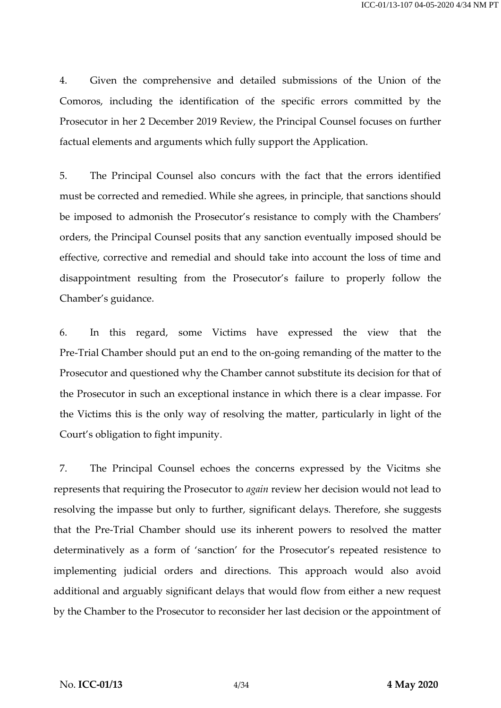4. Given the comprehensive and detailed submissions of the Union of the Comoros, including the identification of the specific errors committed by the Prosecutor in her 2 December 2019 Review, the Principal Counsel focuses on further factual elements and arguments which fully support the Application.

5. The Principal Counsel also concurs with the fact that the errors identified must be corrected and remedied. While she agrees, in principle, that sanctions should be imposed to admonish the Prosecutor's resistance to comply with the Chambers' orders, the Principal Counsel posits that any sanction eventually imposed should be effective, corrective and remedial and should take into account the loss of time and disappointment resulting from the Prosecutor's failure to properly follow the Chamber's guidance.

6. In this regard, some Victims have expressed the view that the Pre-Trial Chamber should put an end to the on-going remanding of the matter to the Prosecutor and questioned why the Chamber cannot substitute its decision for that of the Prosecutor in such an exceptional instance in which there is a clear impasse. For the Victims this is the only way of resolving the matter, particularly in light of the Court's obligation to fight impunity.

7. The Principal Counsel echoes the concerns expressed by the Vicitms she represents that requiring the Prosecutor to *again* review her decision would not lead to resolving the impasse but only to further, significant delays. Therefore, she suggests that the Pre-Trial Chamber should use its inherent powers to resolved the matter determinatively as a form of 'sanction' for the Prosecutor's repeated resistence to implementing judicial orders and directions. This approach would also avoid additional and arguably significant delays that would flow from either a new request by the Chamber to the Prosecutor to reconsider her last decision or the appointment of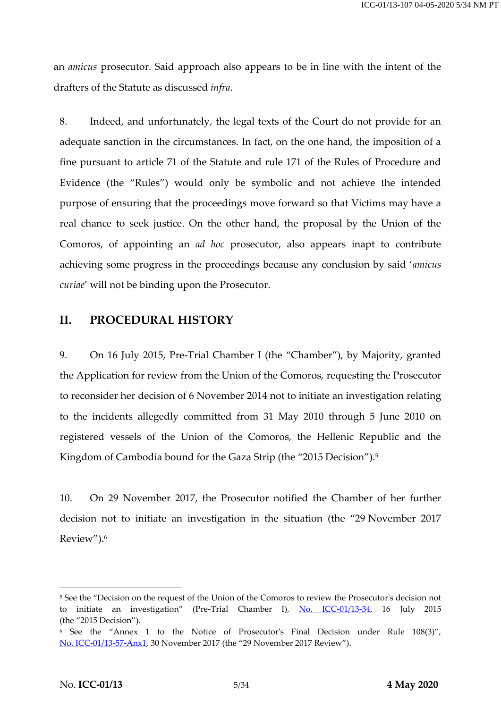an *amicus* prosecutor. Said approach also appears to be in line with the intent of the drafters of the Statute as discussed *infra*.

8. Indeed, and unfortunately, the legal texts of the Court do not provide for an adequate sanction in the circumstances. In fact, on the one hand, the imposition of a fine pursuant to article 71 of the Statute and rule 171 of the Rules of Procedure and Evidence (the "Rules") would only be symbolic and not achieve the intended purpose of ensuring that the proceedings move forward so that Victims may have a real chance to seek justice. On the other hand, the proposal by the Union of the Comoros, of appointing an *ad hoc* prosecutor, also appears inapt to contribute achieving some progress in the proceedings because any conclusion by said '*amicus curiae*' will not be binding upon the Prosecutor.

## **II. PROCEDURAL HISTORY**

9. On 16 July 2015, Pre-Trial Chamber I (the "Chamber"), by Majority, granted the Application for review from the Union of the Comoros, requesting the Prosecutor to reconsider her decision of 6 November 2014 not to initiate an investigation relating to the incidents allegedly committed from 31 May 2010 through 5 June 2010 on registered vessels of the Union of the Comoros, the Hellenic Republic and the Kingdom of Cambodia bound for the Gaza Strip (the "2015 Decision"). 5

<span id="page-4-0"></span>10. On 29 November 2017, the Prosecutor notified the Chamber of her further decision not to initiate an investigation in the situation (the "29 November 2017 Review").<sup>6</sup>

<sup>5</sup> See the "Decision on the request of the Union of the Comoros to review the Prosecutor's decision not to initiate an investigation" (Pre-Trial Chamber I), [No. ICC-01/13-34,](https://www.icc-cpi.int/CourtRecords/CR2015_13139.PDF) 16 July 2015 (the "2015 Decision").

<sup>6</sup> See the "Annex 1 to the Notice of Prosecutor's Final Decision under Rule 108(3)", No. [ICC-01/13-57-Anx1,](https://www.icc-cpi.int/RelatedRecords/CR2017_07028.PDF) 30 November 2017 (the "29 November 2017 Review").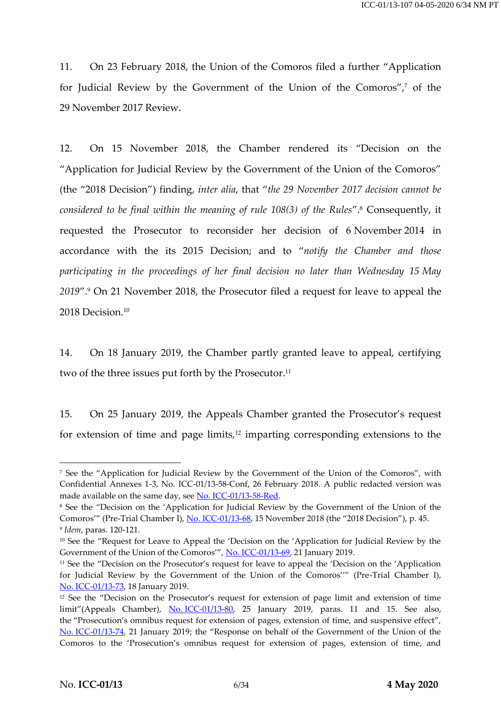11. On 23 February 2018, the Union of the Comoros filed a further "Application for Judicial Review by the Government of the Union of the Comoros", <sup>7</sup> of the 29 November 2017 Review.

12. On 15 November 2018, the Chamber rendered its "Decision on the "Application for Judicial Review by the Government of the Union of the Comoros" (the "2018 Decision") finding, *inter alia*, that "*the 29 November 2017 decision cannot be considered to be final within the meaning of rule 108(3) of the Rules*". <sup>8</sup> Consequently, it requested the Prosecutor to reconsider her decision of 6 November 2014 in accordance with the its 2015 Decision; and to "*notify the Chamber and those participating in the proceedings of her final decision no later than Wednesday 15 May 2019*". <sup>9</sup> On 21 November 2018, the Prosecutor filed a request for leave to appeal the 2018 Decision. 10

14. On 18 January 2019, the Chamber partly granted leave to appeal, certifying two of the three issues put forth by the Prosecutor. 11

<span id="page-5-0"></span>15. On 25 January 2019, the Appeals Chamber granted the Prosecutor's request for extension of time and page limits,<sup>12</sup> imparting corresponding extensions to the

<sup>7</sup> See the "Application for Judicial Review by the Government of the Union of the Comoros", with Confidential Annexes 1-3, No. ICC-01/13-58-Conf, 26 February 2018. A public redacted version was made available on the same day, see [No. ICC-01/13-58-Red.](https://www.icc-cpi.int/CourtRecords/CR2018_01535.PDF)

<sup>&</sup>lt;sup>8</sup> See the "Decision on the 'Application for Judicial Review by the Government of the Union of the Comoros'" (Pre-Trial Chamber I)[, No. ICC-01/13-68,](https://www.icc-cpi.int/CourtRecords/CR2018_05367.PDF) 15 November 2018 (the "2018 Decision"), p. 45. 9 *Idem*, paras. 120-121.

<sup>&</sup>lt;sup>10</sup> See the "Request for Leave to Appeal the 'Decision on the 'Application for Judicial Review by the Government of the Union of the Comoros'", [No. ICC-01/13-69,](https://www.icc-cpi.int/CourtRecords/CR2018_05492.PDF) 21 January 2019.

<sup>&</sup>lt;sup>11</sup> See the "Decision on the Prosecutor's request for leave to appeal the 'Decision on the 'Application for Judicial Review by the Government of the Union of the Comoros''" (Pre-Trial Chamber I), No. [ICC-01/13-73,](https://www.icc-cpi.int/CourtRecords/CR2019_00167.PDF) 18 January 2019.

<sup>&</sup>lt;sup>12</sup> See the "Decision on the Prosecutor's request for extension of page limit and extension of time limit"(Appeals Chamber), No. [ICC-01/13-80,](https://www.icc-cpi.int/CourtRecords/CR2019_00433.PDF) 25 January 2019, paras. 11 and 15. See also, the "Prosecution's omnibus request for extension of pages, extension of time, and suspensive effect", No. [ICC-01/13-74,](https://www.icc-cpi.int/CourtRecords/CR2019_00184.PDF) 21 January 2019; the "Response on behalf of the Government of the Union of the Comoros to the 'Prosecution's omnibus request for extension of pages, extension of time, and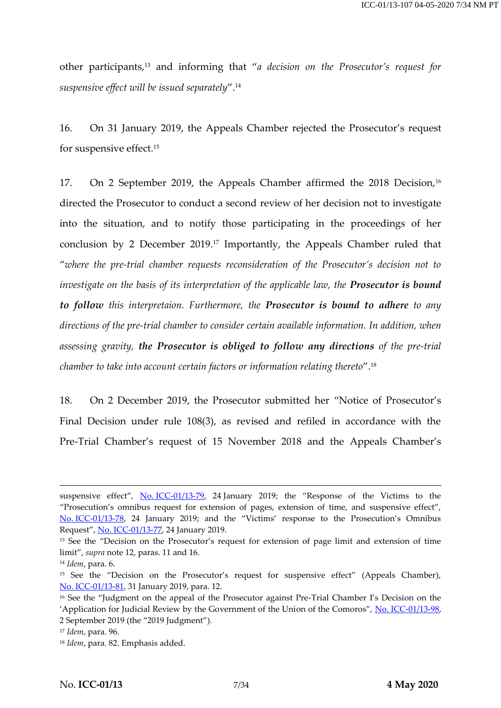other participants,<sup>13</sup> and informing that "*a decision on the Prosecutor's request for suspensive effect will be issued separately*".<sup>14</sup>

16. On 31 January 2019, the Appeals Chamber rejected the Prosecutor's request for suspensive effect.<sup>15</sup>

<span id="page-6-0"></span>17. On 2 September 2019, the Appeals Chamber affirmed the 2018 Decision, 16 directed the Prosecutor to conduct a second review of her decision not to investigate into the situation, and to notify those participating in the proceedings of her conclusion by 2 December 2019. <sup>17</sup> Importantly, the Appeals Chamber ruled that "*where the pre-trial chamber requests reconsideration of the Prosecutor's decision not to investigate on the basis of its interpretation of the applicable law, the Prosecutor is bound to follow this interpretaion. Furthermore, the Prosecutor is bound to adhere to any directions of the pre-trial chamber to consider certain available information. In addition, when assessing gravity, the Prosecutor is obliged to follow any directions of the pre-trial chamber to take into account certain factors or information relating thereto*".<sup>18</sup>

18. On 2 December 2019, the Prosecutor submitted her "Notice of Prosecutor's Final Decision under rule 108(3), as revised and refiled in accordance with the Pre-Trial Chamber's request of 15 November 2018 and the Appeals Chamber's

suspensive effect", No. [ICC-01/13-79,](https://www.icc-cpi.int/CourtRecords/CR2019_00305.PDF) 24 January 2019; the "Response of the Victims to the "Prosecution's omnibus request for extension of pages, extension of time, and suspensive effect", No. [ICC-01/13-78](https://www.icc-cpi.int/CourtRecords/CR2019_00300.PDF), 24 January 2019; and the "Victims' response to the Prosecution's Omnibus Request", [No. ICC-01/13-77,](https://www.icc-cpi.int/CourtRecords/CR2019_00297.PDF) 24 January 2019.

<sup>&</sup>lt;sup>13</sup> See the "Decision on the Prosecutor's request for extension of page limit and extension of time limit", *supra* note [12,](#page-5-0) paras. 11 and 16.

<sup>14</sup> *Idem*, para. 6.

<sup>&</sup>lt;sup>15</sup> See the "Decision on the Prosecutor's request for suspensive effect" (Appeals Chamber), No. [ICC-01/13-81,](https://www.icc-cpi.int/CourtRecords/CR2019_00560.PDF) 31 January 2019, para. 12.

<sup>&</sup>lt;sup>16</sup> See the "Judgment on the appeal of the Prosecutor against Pre-Trial Chamber I's Decision on the 'Application for Judicial Review by the Government of the Union of the Comoros", No. [ICC-01/13-98,](https://www.icc-cpi.int/CourtRecords/CR2019_04886.PDF) 2 September 2019 (the "2019 Judgment").

<sup>17</sup> *Idem*, para. 96.

<sup>18</sup> *Idem*, para. 82. Emphasis added.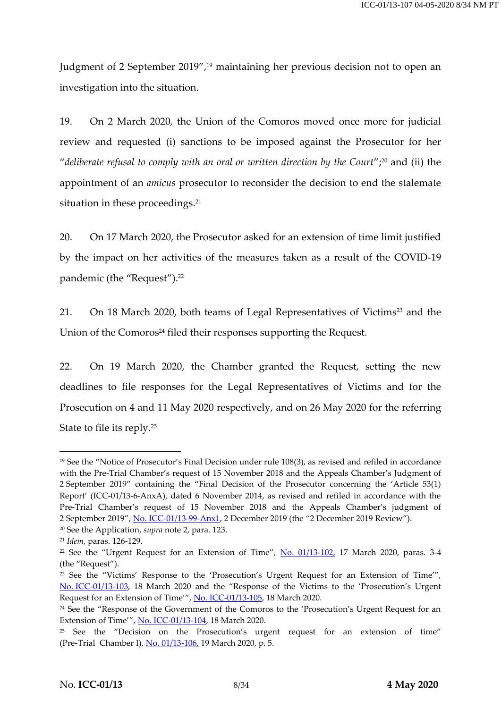<span id="page-7-0"></span>Judgment of 2 September 2019", <sup>19</sup> maintaining her previous decision not to open an investigation into the situation.

19. On 2 March 2020, the Union of the Comoros moved once more for judicial review and requested (i) sanctions to be imposed against the Prosecutor for her "*deliberate refusal to comply with an oral or written direction by the Court*"; <sup>20</sup> and (ii) the appointment of an *amicus* prosecutor to reconsider the decision to end the stalemate situation in these proceedings. 21

20. On 17 March 2020, the Prosecutor asked for an extension of time limit justified by the impact on her activities of the measures taken as a result of the COVID-19 pandemic (the "Request"). 22

21. On 18 March 2020, both teams of Legal Representatives of Victims<sup>23</sup> and the Union of the Comoros<sup>24</sup> filed their responses supporting the Request.

22. On 19 March 2020, the Chamber granted the Request, setting the new deadlines to file responses for the Legal Representatives of Victims and for the Prosecution on 4 and 11 May 2020 respectively, and on 26 May 2020 for the referring State to file its reply. 25

<sup>19</sup> See the "Notice of Prosecutor's Final Decision under rule 108(3), as revised and refiled in accordance with the Pre-Trial Chamber's request of 15 November 2018 and the Appeals Chamber's Judgment of 2 September 2019" containing the "Final Decision of the Prosecutor concerning the 'Article 53(1) Report' (ICC-01/13-6-AnxA), dated 6 November 2014, as revised and refiled in accordance with the Pre-Trial Chamber's request of 15 November 2018 and the Appeals Chamber's judgment of 2 September 2019", [No. ICC-01/13-99-Anx1,](https://www.icc-cpi.int/RelatedRecords/CR2019_07299.PDF) 2 December 2019 (the "2 December 2019 Review").

<sup>20</sup> See the Application, *supra* not[e 2,](#page-2-0) para. 123.

<sup>21</sup> *Idem*, paras. 126-129.

<sup>&</sup>lt;sup>22</sup> See the "Urgent Request for an Extension of Time",  $\overline{No}$ . 01/13-102, 17 March 2020, paras. 3-4 (the "Request").

<sup>&</sup>lt;sup>23</sup> See the "Victims' Response to the 'Prosecution's Urgent Request for an Extension of Time'", No. [ICC-01/13-103,](https://www.icc-cpi.int/CourtRecords/CR2020_01113.PDF) 18 March 2020 and the "Response of the Victims to the 'Prosecution's Urgent Request for an Extension of Time'", [No. ICC-01/13-105,](https://www.icc-cpi.int/CourtRecords/CR2020_01161.PDF) 18 March 2020.

<sup>24</sup> See the "Response of the Government of the Comoros to the 'Prosecution's Urgent Request for an Extension of Time'", [No. ICC-01/13-104,](https://www.icc-cpi.int/CourtRecords/CR2020_01119.PDF) 18 March 2020.

<sup>&</sup>lt;sup>25</sup> See the "Decision on the Prosecution's urgent request for an extension of time" (Pre-Trial Chamber I), [No. 01/13-106,](https://www.icc-cpi.int/Pages/record.aspx?docNo=ICC-01/13-106) 19 March 2020, p. 5.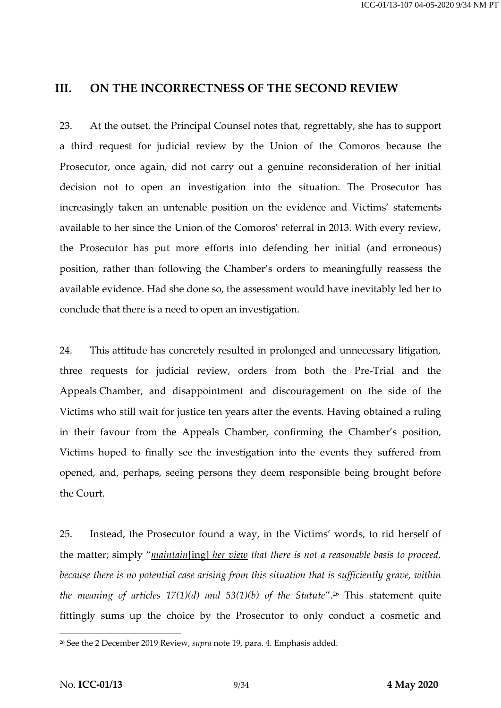#### **III. ON THE INCORRECTNESS OF THE SECOND REVIEW**

23. At the outset, the Principal Counsel notes that, regrettably, she has to support a third request for judicial review by the Union of the Comoros because the Prosecutor, once again, did not carry out a genuine reconsideration of her initial decision not to open an investigation into the situation. The Prosecutor has increasingly taken an untenable position on the evidence and Victims' statements available to her since the Union of the Comoros' referral in 2013. With every review, the Prosecutor has put more efforts into defending her initial (and erroneous) position, rather than following the Chamber's orders to meaningfully reassess the available evidence. Had she done so, the assessment would have inevitably led her to conclude that there is a need to open an investigation.

24. This attitude has concretely resulted in prolonged and unnecessary litigation, three requests for judicial review, orders from both the Pre-Trial and the Appeals Chamber, and disappointment and discouragement on the side of the Victims who still wait for justice ten years after the events. Having obtained a ruling in their favour from the Appeals Chamber, confirming the Chamber's position, Victims hoped to finally see the investigation into the events they suffered from opened, and, perhaps, seeing persons they deem responsible being brought before the Court.

25. Instead, the Prosecutor found a way, in the Victims' words, to rid herself of the matter; simply "*maintain*[ing] *her view that there is not a reasonable basis to proceed, because there is no potential case arising from this situation that is sufficiently grave, within the meaning of articles 17(1)(d) and 53(1)(b) of the Statute*". <sup>26</sup> This statement quite fittingly sums up the choice by the Prosecutor to only conduct a cosmetic and

<sup>26</sup> See the 2 December 2019 Review, *supra* not[e 19,](#page-7-0) para. 4. Emphasis added.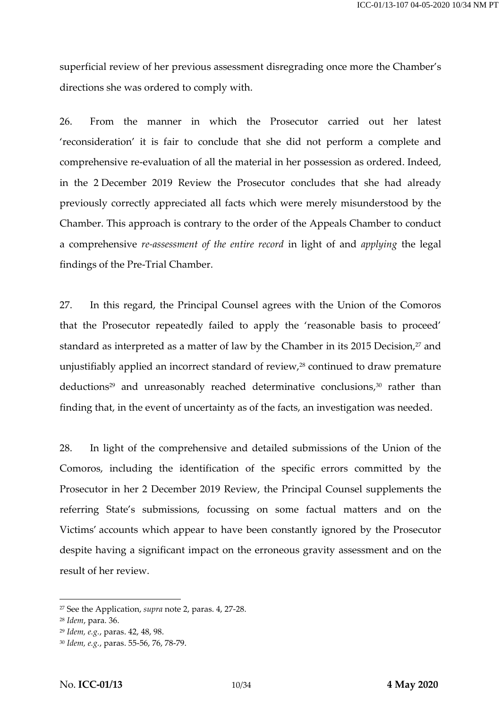superficial review of her previous assessment disregrading once more the Chamber's directions she was ordered to comply with.

26. From the manner in which the Prosecutor carried out her latest 'reconsideration' it is fair to conclude that she did not perform a complete and comprehensive re-evaluation of all the material in her possession as ordered. Indeed, in the 2 December 2019 Review the Prosecutor concludes that she had already previously correctly appreciated all facts which were merely misunderstood by the Chamber. This approach is contrary to the order of the Appeals Chamber to conduct a comprehensive *re-assessment of the entire record* in light of and *applying* the legal findings of the Pre-Trial Chamber.

27. In this regard, the Principal Counsel agrees with the Union of the Comoros that the Prosecutor repeatedly failed to apply the 'reasonable basis to proceed' standard as interpreted as a matter of law by the Chamber in its 2015 Decision, <sup>27</sup> and unjustifiably applied an incorrect standard of review,<sup>28</sup> continued to draw premature deductions<sup>29</sup> and unreasonably reached determinative conclusions, <sup>30</sup> rather than finding that, in the event of uncertainty as of the facts, an investigation was needed.

28. In light of the comprehensive and detailed submissions of the Union of the Comoros, including the identification of the specific errors committed by the Prosecutor in her 2 December 2019 Review, the Principal Counsel supplements the referring State's submissions, focussing on some factual matters and on the Victims' accounts which appear to have been constantly ignored by the Prosecutor despite having a significant impact on the erroneous gravity assessment and on the result of her review.

<sup>27</sup> See the Application, *supra* not[e 2,](#page-2-0) paras. 4, 27-28.

<sup>28</sup> *Idem*, para. 36.

<sup>29</sup> *Idem, e.g.*, paras. 42, 48, 98.

<sup>30</sup> *Idem, e.g.*, paras. 55-56, 76, 78-79.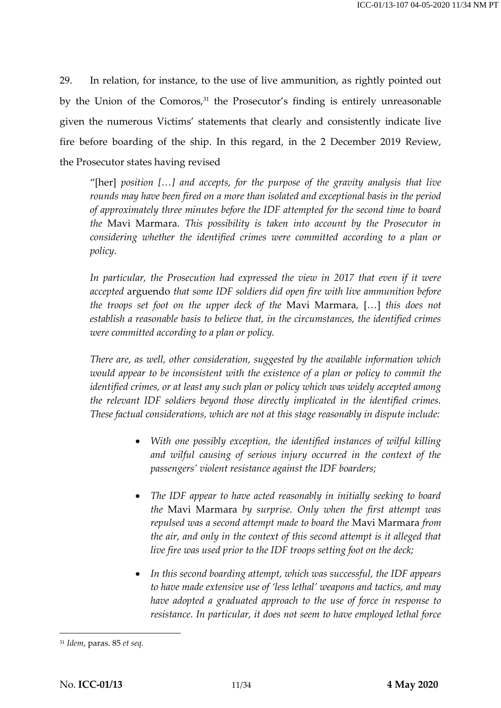29. In relation, for instance, to the use of live ammunition, as rightly pointed out by the Union of the Comoros,<sup>31</sup> the Prosecutor's finding is entirely unreasonable given the numerous Victims' statements that clearly and consistently indicate live fire before boarding of the ship. In this regard, in the 2 December 2019 Review, the Prosecutor states having revised

"[her] *position […] and accepts, for the purpose of the gravity analysis that live rounds may have been fired on a more than isolated and exceptional basis in the period of approximately three minutes before the IDF attempted for the second time to board the* Mavi Marmara. *This possibility is taken into account by the Prosecutor in considering whether the identified crimes were committed according to a plan or policy.*

In particular, the Prosecution had expressed the view in 2017 that even if it were *accepted* arguendo *that some IDF soldiers did open fire with live ammunition before the troops set foot on the upper deck of the* Mavi Marmara*,* […] *this does not establish a reasonable basis to believe that, in the circumstances, the identified crimes were committed according to a plan or policy.*

*There are, as well, other consideration, suggested by the available information which would appear to be inconsistent with the existence of a plan or policy to commit the identified crimes, or at least any such plan or policy which was widely accepted among the relevant IDF soldiers beyond those directly implicated in the identified crimes. These factual considerations, which are not at this stage reasonably in dispute include:*

- *With one possibly exception, the identified instances of wilful killing and wilful causing of serious injury occurred in the context of the passengers' violent resistance against the IDF boarders;*
- *The IDF appear to have acted reasonably in initially seeking to board the* Mavi Marmara *by surprise. Only when the first attempt was repulsed was a second attempt made to board the* Mavi Marmara *from the air, and only in the context of this second attempt is it alleged that live fire was used prior to the IDF troops setting foot on the deck;*
- *In this second boarding attempt, which was successful, the IDF appears to have made extensive use of 'less lethal' weapons and tactics, and may have adopted a graduated approach to the use of force in response to resistance. In particular, it does not seem to have employed lethal force*

<sup>31</sup> *Idem*, paras. 85 *et seq.*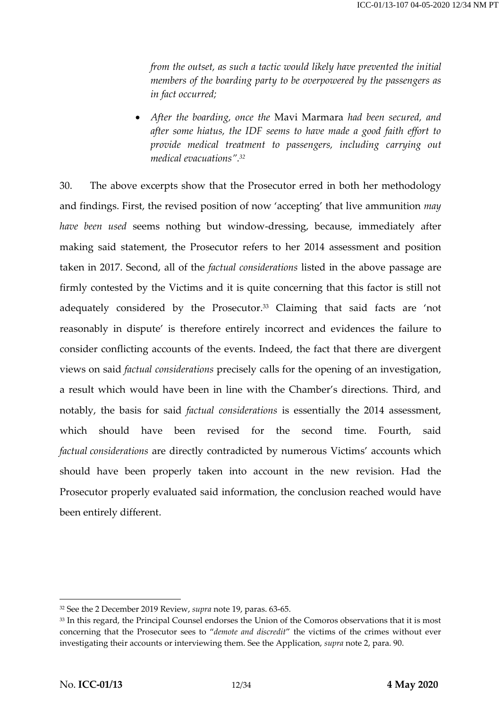*from the outset, as such a tactic would likely have prevented the initial members of the boarding party to be overpowered by the passengers as in fact occurred;*

 *After the boarding, once the* Mavi Marmara *had been secured, and after some hiatus, the IDF seems to have made a good faith effort to provide medical treatment to passengers, including carrying out medical evacuations". 32*

30. The above excerpts show that the Prosecutor erred in both her methodology and findings. First, the revised position of now 'accepting' that live ammunition *may have been used* seems nothing but window-dressing, because, immediately after making said statement, the Prosecutor refers to her 2014 assessment and position taken in 2017. Second, all of the *factual considerations* listed in the above passage are firmly contested by the Victims and it is quite concerning that this factor is still not adequately considered by the Prosecutor. <sup>33</sup> Claiming that said facts are 'not reasonably in dispute' is therefore entirely incorrect and evidences the failure to consider conflicting accounts of the events. Indeed, the fact that there are divergent views on said *factual considerations* precisely calls for the opening of an investigation, a result which would have been in line with the Chamber's directions. Third, and notably, the basis for said *factual considerations* is essentially the 2014 assessment, which should have been revised for the second time. Fourth, said *factual considerations* are directly contradicted by numerous Victims' accounts which should have been properly taken into account in the new revision. Had the Prosecutor properly evaluated said information, the conclusion reached would have been entirely different.

<sup>32</sup> See the 2 December 2019 Review, *supra* not[e 19,](#page-7-0) paras. 63-65.

<sup>&</sup>lt;sup>33</sup> In this regard, the Principal Counsel endorses the Union of the Comoros observations that it is most concerning that the Prosecutor sees to "*demote and discredit*" the victims of the crimes without ever investigating their accounts or interviewing them. See the Application, *supra* not[e 2,](#page-2-0) para. 90.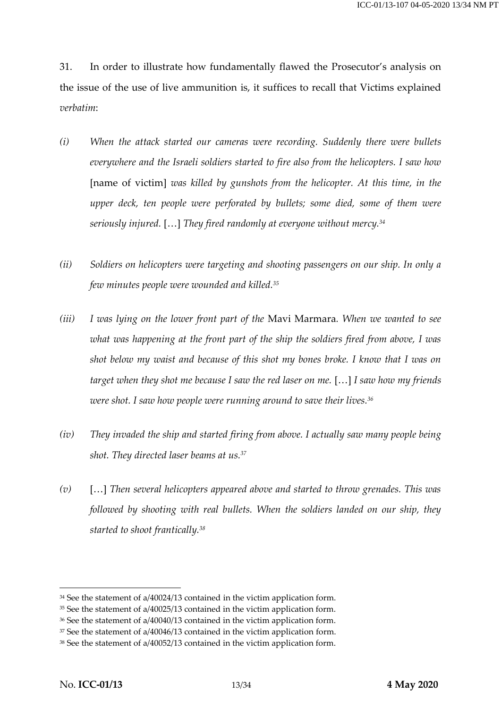31. In order to illustrate how fundamentally flawed the Prosecutor's analysis on the issue of the use of live ammunition is, it suffices to recall that Victims explained *verbatim*:

- *(i) When the attack started our cameras were recording. Suddenly there were bullets everywhere and the Israeli soldiers started to fire also from the helicopters. I saw how*  [name of victim] *was killed by gunshots from the helicopter. At this time, in the upper deck, ten people were perforated by bullets; some died, some of them were seriously injured.* […] *They fired randomly at everyone without mercy.<sup>34</sup>*
- *(ii) Soldiers on helicopters were targeting and shooting passengers on our ship. In only a few minutes people were wounded and killed.<sup>35</sup>*
- *(iii) I was lying on the lower front part of the* Mavi Marmara*. When we wanted to see what was happening at the front part of the ship the soldiers fired from above, I was shot below my waist and because of this shot my bones broke. I know that I was on target when they shot me because I saw the red laser on me.* […] *I saw how my friends were shot. I saw how people were running around to save their lives.<sup>36</sup>*
- *(iv) They invaded the ship and started firing from above. I actually saw many people being shot. They directed laser beams at us.<sup>37</sup>*
- *(v)* […] *Then several helicopters appeared above and started to throw grenades. This was followed by shooting with real bullets. When the soldiers landed on our ship, they started to shoot frantically.<sup>38</sup>*

<sup>34</sup> See the statement of a/40024/13 contained in the victim application form.

<sup>35</sup> See the statement of a/40025/13 contained in the victim application form.

<sup>36</sup> See the statement of a/40040/13 contained in the victim application form.

<sup>&</sup>lt;sup>37</sup> See the statement of a/40046/13 contained in the victim application form.

<sup>38</sup> See the statement of a/40052/13 contained in the victim application form.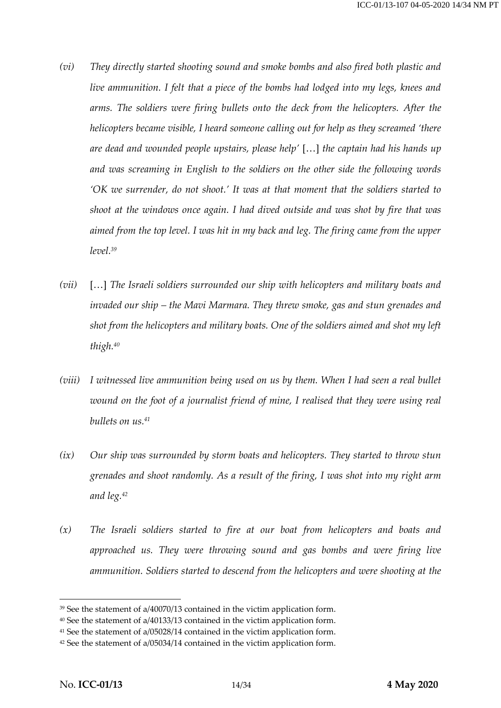- *(vi) They directly started shooting sound and smoke bombs and also fired both plastic and live ammunition. I felt that a piece of the bombs had lodged into my legs, knees and arms. The soldiers were firing bullets onto the deck from the helicopters. After the helicopters became visible, I heard someone calling out for help as they screamed 'there are dead and wounded people upstairs, please help'* […] *the captain had his hands up and was screaming in English to the soldiers on the other side the following words 'OK we surrender, do not shoot.' It was at that moment that the soldiers started to shoot at the windows once again. I had dived outside and was shot by fire that was aimed from the top level. I was hit in my back and leg. The firing came from the upper level.<sup>39</sup>*
- *(vii)* […] *The Israeli soldiers surrounded our ship with helicopters and military boats and invaded our ship – the Mavi Marmara. They threw smoke, gas and stun grenades and shot from the helicopters and military boats. One of the soldiers aimed and shot my left thigh.<sup>40</sup>*
- *(viii) I witnessed live ammunition being used on us by them. When I had seen a real bullet*  wound on the foot of a journalist friend of mine, I realised that they were using real *bullets on us.<sup>41</sup>*
- *(ix) Our ship was surrounded by storm boats and helicopters. They started to throw stun grenades and shoot randomly. As a result of the firing, I was shot into my right arm and leg.<sup>42</sup>*
- *(x) The Israeli soldiers started to fire at our boat from helicopters and boats and approached us. They were throwing sound and gas bombs and were firing live ammunition. Soldiers started to descend from the helicopters and were shooting at the*

<sup>39</sup> See the statement of a/40070/13 contained in the victim application form.

<sup>40</sup> See the statement of a/40133/13 contained in the victim application form.

<sup>41</sup> See the statement of a/05028/14 contained in the victim application form.

<sup>42</sup> See the statement of a/05034/14 contained in the victim application form.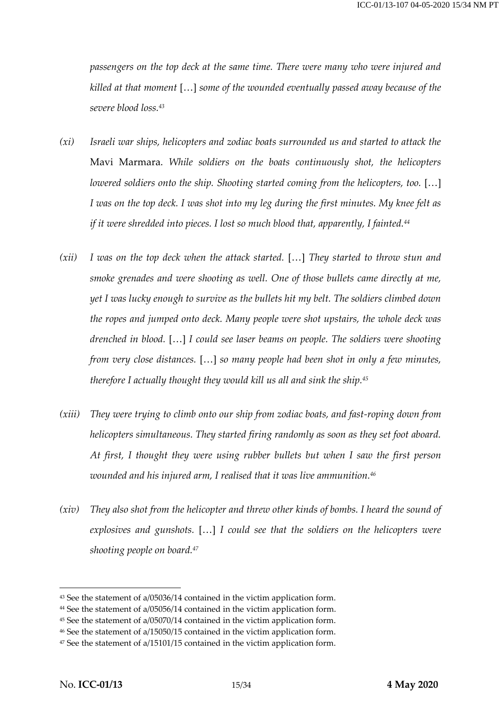*passengers on the top deck at the same time. There were many who were injured and killed at that moment* […] *some of the wounded eventually passed away because of the severe blood loss.<sup>43</sup>*

- *(xi) Israeli war ships, helicopters and zodiac boats surrounded us and started to attack the*  Mavi Marmara. *While soldiers on the boats continuously shot, the helicopters lowered soldiers onto the ship. Shooting started coming from the helicopters, too.* [...] *I was on the top deck. I was shot into my leg during the first minutes. My knee felt as if it were shredded into pieces. I lost so much blood that, apparently, I fainted.<sup>44</sup>*
- *(xii) I was on the top deck when the attack started.* […] *They started to throw stun and smoke grenades and were shooting as well. One of those bullets came directly at me, yet I was lucky enough to survive as the bullets hit my belt. The soldiers climbed down the ropes and jumped onto deck. Many people were shot upstairs, the whole deck was drenched in blood.* […] *I could see laser beams on people. The soldiers were shooting from very close distances.* […] *so many people had been shot in only a few minutes, therefore I actually thought they would kill us all and sink the ship.<sup>45</sup>*
- *(xiii) They were trying to climb onto our ship from zodiac boats, and fast-roping down from helicopters simultaneous. They started firing randomly as soon as they set foot aboard. At first, I thought they were using rubber bullets but when I saw the first person wounded and his injured arm, I realised that it was live ammunition.<sup>46</sup>*
- *(xiv) They also shot from the helicopter and threw other kinds of bombs. I heard the sound of explosives and gunshots.* […] *I could see that the soldiers on the helicopters were shooting people on board.<sup>47</sup>*

<sup>43</sup> See the statement of a/05036/14 contained in the victim application form.

<sup>44</sup> See the statement of a/05056/14 contained in the victim application form.

<sup>45</sup> See the statement of a/05070/14 contained in the victim application form.

<sup>46</sup> See the statement of a/15050/15 contained in the victim application form.

<sup>47</sup> See the statement of a/15101/15 contained in the victim application form.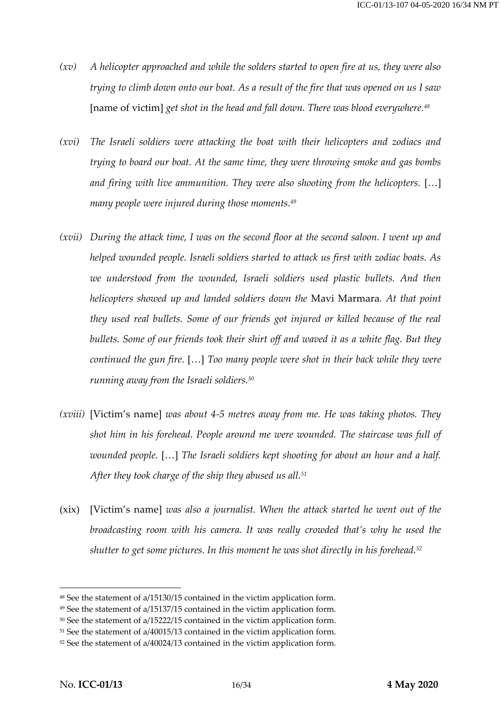- *(xv) A helicopter approached and while the solders started to open fire at us, they were also trying to climb down onto our boat. As a result of the fire that was opened on us I saw*  [name of victim] *get shot in the head and fall down. There was blood everywhere.<sup>48</sup>*
- *(xvi) The Israeli soldiers were attacking the boat with their helicopters and zodiacs and trying to board our boat. At the same time, they were throwing smoke and gas bombs*  and firing with live ammunition. They were also shooting from the helicopters. [...] *many people were injured during those moments.<sup>49</sup>*
- *(xvii) During the attack time, I was on the second floor at the second saloon. I went up and helped wounded people. Israeli soldiers started to attack us first with zodiac boats. As*  we understood from the wounded, Israeli soldiers used plastic bullets. And then *helicopters showed up and landed soldiers down the* Mavi Marmara*. At that point they used real bullets. Some of our friends got injured or killed because of the real bullets. Some of our friends took their shirt off and waved it as a white flag. But they continued the gun fire.* […] *Too many people were shot in their back while they were running away from the Israeli soldiers.<sup>50</sup>*
- *(xviii)* [Victim's name] *was about 4-5 metres away from me. He was taking photos. They shot him in his forehead. People around me were wounded. The staircase was full of wounded people.* […] *The Israeli soldiers kept shooting for about an hour and a half. After they took charge of the ship they abused us all.<sup>51</sup>*
- (xix) [Victim's name] *was also a journalist. When the attack started he went out of the broadcasting room with his camera. It was really crowded that's why he used the shutter to get some pictures. In this moment he was shot directly in his forehead.<sup>52</sup>*

<sup>48</sup> See the statement of a/15130/15 contained in the victim application form.

<sup>49</sup> See the statement of a/15137/15 contained in the victim application form.

<sup>50</sup> See the statement of a/15222/15 contained in the victim application form.

<sup>51</sup> See the statement of a/40015/13 contained in the victim application form.

<sup>&</sup>lt;sup>52</sup> See the statement of a/40024/13 contained in the victim application form.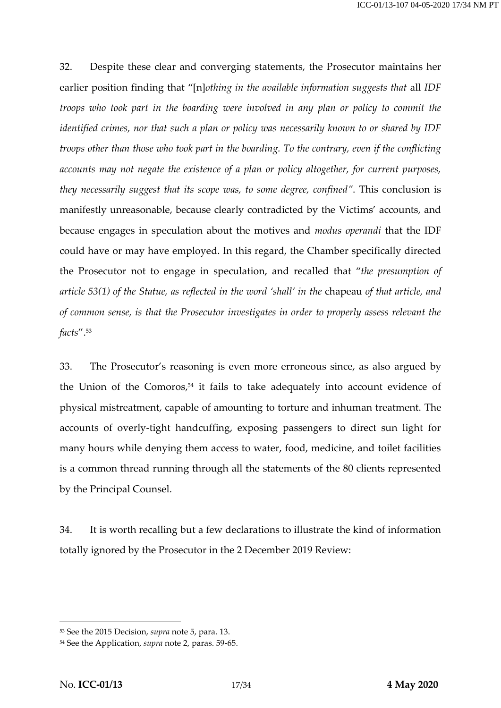32. Despite these clear and converging statements, the Prosecutor maintains her earlier position finding that "[n]*othing in the available information suggests that* all *IDF troops who took part in the boarding were involved in any plan or policy to commit the identified crimes, nor that such a plan or policy was necessarily known to or shared by IDF troops other than those who took part in the boarding. To the contrary, even if the conflicting accounts may not negate the existence of a plan or policy altogether, for current purposes, they necessarily suggest that its scope was, to some degree, confined"*. This conclusion is manifestly unreasonable, because clearly contradicted by the Victims' accounts, and because engages in speculation about the motives and *modus operandi* that the IDF could have or may have employed. In this regard, the Chamber specifically directed the Prosecutor not to engage in speculation, and recalled that "*the presumption of article 53(1) of the Statue, as reflected in the word 'shall' in the* chapeau *of that article, and of common sense, is that the Prosecutor investigates in order to properly assess relevant the facts*". 53

33. The Prosecutor's reasoning is even more erroneous since, as also argued by the Union of the Comoros, <sup>54</sup> it fails to take adequately into account evidence of physical mistreatment, capable of amounting to torture and inhuman treatment. The accounts of overly-tight handcuffing, exposing passengers to direct sun light for many hours while denying them access to water, food, medicine, and toilet facilities is a common thread running through all the statements of the 80 clients represented by the Principal Counsel.

34. It is worth recalling but a few declarations to illustrate the kind of information totally ignored by the Prosecutor in the 2 December 2019 Review:

<sup>53</sup> See the 2015 Decision, *supra* note [5,](#page-4-0) para. 13.

<sup>54</sup> See the Application, *supra* not[e 2,](#page-2-0) paras. 59-65.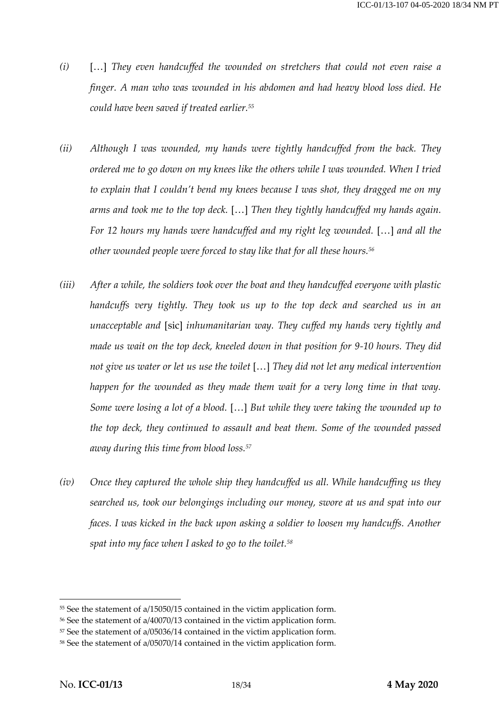- *(i)* […] *They even handcuffed the wounded on stretchers that could not even raise a finger. A man who was wounded in his abdomen and had heavy blood loss died. He could have been saved if treated earlier.<sup>55</sup>*
- *(ii) Although I was wounded, my hands were tightly handcuffed from the back. They ordered me to go down on my knees like the others while I was wounded. When I tried*  to explain that I couldn't bend my knees because I was shot, they dragged me on my *arms and took me to the top deck.* […] *Then they tightly handcuffed my hands again. For 12 hours my hands were handcuffed and my right leg wounded.* […] *and all the other wounded people were forced to stay like that for all these hours.<sup>56</sup>*
- *(iii) After a while, the soldiers took over the boat and they handcuffed everyone with plastic handcuffs very tightly. They took us up to the top deck and searched us in an unacceptable and* [sic] *inhumanitarian way. They cuffed my hands very tightly and made us wait on the top deck, kneeled down in that position for 9-10 hours. They did not give us water or let us use the toilet* […] *They did not let any medical intervention happen for the wounded as they made them wait for a very long time in that way. Some were losing a lot of a blood.* […] *But while they were taking the wounded up to the top deck, they continued to assault and beat them. Some of the wounded passed away during this time from blood loss.<sup>57</sup>*
- *(iv) Once they captured the whole ship they handcuffed us all. While handcuffing us they searched us, took our belongings including our money, swore at us and spat into our faces. I was kicked in the back upon asking a soldier to loosen my handcuffs. Another spat into my face when I asked to go to the toilet.<sup>58</sup>*

<sup>55</sup> See the statement of a/15050/15 contained in the victim application form.

<sup>56</sup> See the statement of a/40070/13 contained in the victim application form.

<sup>57</sup> See the statement of a/05036/14 contained in the victim application form.

<sup>58</sup> See the statement of a/05070/14 contained in the victim application form.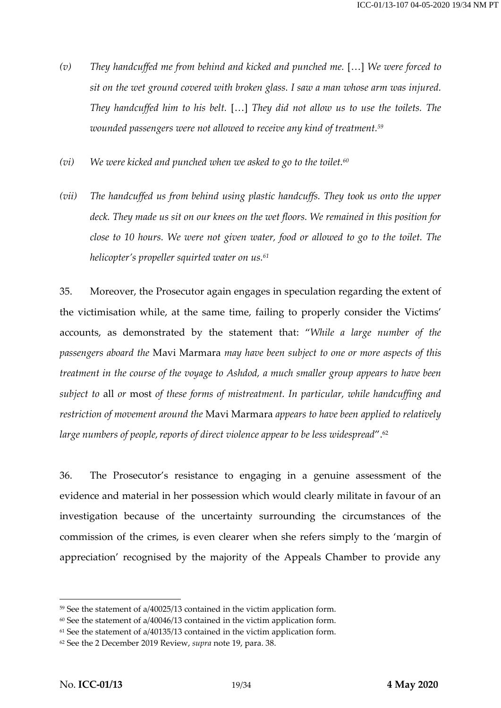- *(v) They handcuffed me from behind and kicked and punched me.* […] *We were forced to sit on the wet ground covered with broken glass. I saw a man whose arm was injured. They handcuffed him to his belt.* […] *They did not allow us to use the toilets. The wounded passengers were not allowed to receive any kind of treatment.<sup>59</sup>*
- *(vi) We were kicked and punched when we asked to go to the toilet.<sup>60</sup>*
- *(vii) The handcuffed us from behind using plastic handcuffs. They took us onto the upper deck. They made us sit on our knees on the wet floors. We remained in this position for close to 10 hours. We were not given water, food or allowed to go to the toilet. The helicopter's propeller squirted water on us.<sup>61</sup>*

35. Moreover, the Prosecutor again engages in speculation regarding the extent of the victimisation while, at the same time, failing to properly consider the Victims' accounts, as demonstrated by the statement that: "*While a large number of the passengers aboard the* Mavi Marmara *may have been subject to one or more aspects of this treatment in the course of the voyage to Ashdod, a much smaller group appears to have been subject to* all *or* most *of these forms of mistreatment. In particular, while handcuffing and restriction of movement around the* Mavi Marmara *appears to have been applied to relatively large numbers of people, reports of direct violence appear to be less widespread".*<sup>62</sup>

36. The Prosecutor's resistance to engaging in a genuine assessment of the evidence and material in her possession which would clearly militate in favour of an investigation because of the uncertainty surrounding the circumstances of the commission of the crimes, is even clearer when she refers simply to the 'margin of appreciation' recognised by the majority of the Appeals Chamber to provide any

<sup>59</sup> See the statement of a/40025/13 contained in the victim application form.

 $60$  See the statement of a/40046/13 contained in the victim application form.

<sup>61</sup> See the statement of a/40135/13 contained in the victim application form.

<sup>62</sup> See the 2 December 2019 Review, *supra* not[e 19,](#page-7-0) para. 38.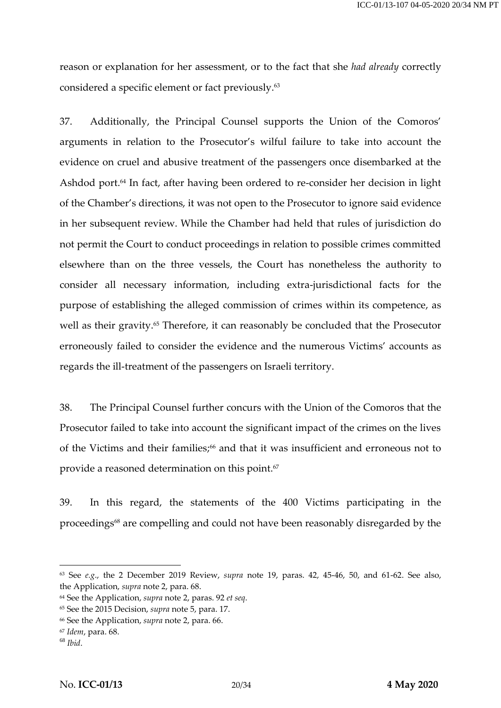reason or explanation for her assessment, or to the fact that she *had already* correctly considered a specific element or fact previously.<sup>63</sup>

37. Additionally, the Principal Counsel supports the Union of the Comoros' arguments in relation to the Prosecutor's wilful failure to take into account the evidence on cruel and abusive treatment of the passengers once disembarked at the Ashdod port.<sup>64</sup> In fact, after having been ordered to re-consider her decision in light of the Chamber's directions, it was not open to the Prosecutor to ignore said evidence in her subsequent review. While the Chamber had held that rules of jurisdiction do not permit the Court to conduct proceedings in relation to possible crimes committed elsewhere than on the three vessels, the Court has nonetheless the authority to consider all necessary information, including extra-jurisdictional facts for the purpose of establishing the alleged commission of crimes within its competence, as well as their gravity.<sup>65</sup> Therefore, it can reasonably be concluded that the Prosecutor erroneously failed to consider the evidence and the numerous Victims' accounts as regards the ill-treatment of the passengers on Israeli territory.

38. The Principal Counsel further concurs with the Union of the Comoros that the Prosecutor failed to take into account the significant impact of the crimes on the lives of the Victims and their families; <sup>66</sup> and that it was insufficient and erroneous not to provide a reasoned determination on this point.<sup>67</sup>

39. In this regard, the statements of the 400 Victims participating in the proceedings<sup>68</sup> are compelling and could not have been reasonably disregarded by the

<sup>63</sup> See *e.g*., the 2 December 2019 Review, *supra* note [19,](#page-7-0) paras. 42, 45-46, 50, and 61-62. See also, the Application, *supra* note [2,](#page-2-0) para. 68.

<sup>64</sup> See the Application, *supra* not[e 2,](#page-2-0) paras. 92 *et seq*.

<sup>65</sup> See the 2015 Decision, *supra* note [5,](#page-4-0) para. 17.

<sup>66</sup> See the Application, *supra* not[e 2,](#page-2-0) para. 66.

<sup>67</sup> *Idem*, para. 68.

<sup>68</sup> *Ibid*.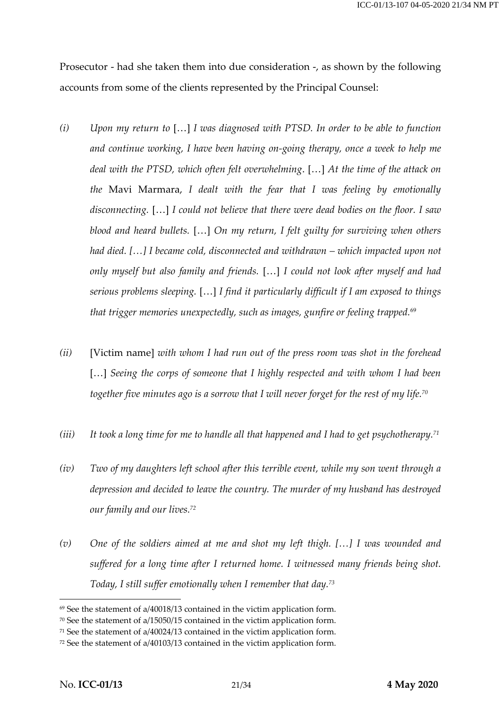Prosecutor - had she taken them into due consideration -, as shown by the following accounts from some of the clients represented by the Principal Counsel:

- *(i) Upon my return to* […] *I was diagnosed with PTSD. In order to be able to function and continue working, I have been having on-going therapy, once a week to help me deal with the PTSD, which often felt overwhelming*. […] *At the time of the attack on the* Mavi Marmara, *I dealt with the fear that I was feeling by emotionally disconnecting.* […] *I could not believe that there were dead bodies on the floor. I saw blood and heard bullets.* […] *On my return, I felt guilty for surviving when others had died. […] I became cold, disconnected and withdrawn – which impacted upon not only myself but also family and friends.* […] *I could not look after myself and had serious problems sleeping.* […] *I find it particularly difficult if I am exposed to things that trigger memories unexpectedly, such as images, gunfire or feeling trapped.*<sup>69</sup>
- *(ii)* [Victim name] *with whom I had run out of the press room was shot in the forehead*  [...] Seeing the corps of someone that I highly respected and with whom I had been *together five minutes ago is a sorrow that I will never forget for the rest of my life.<sup>70</sup>*
- *(iii) It took a long time for me to handle all that happened and I had to get psychotherapy.<sup>71</sup>*
- *(iv) Two of my daughters left school after this terrible event, while my son went through a depression and decided to leave the country. The murder of my husband has destroyed our family and our lives.<sup>72</sup>*
- *(v) One of the soldiers aimed at me and shot my left thigh. […] I was wounded and suffered for a long time after I returned home. I witnessed many friends being shot. Today, I still suffer emotionally when I remember that day.<sup>73</sup>*

<sup>69</sup> See the statement of a/40018/13 contained in the victim application form.

<sup>70</sup> See the statement of a/15050/15 contained in the victim application form.

<sup>71</sup> See the statement of a/40024/13 contained in the victim application form.

<sup>72</sup> See the statement of a/40103/13 contained in the victim application form.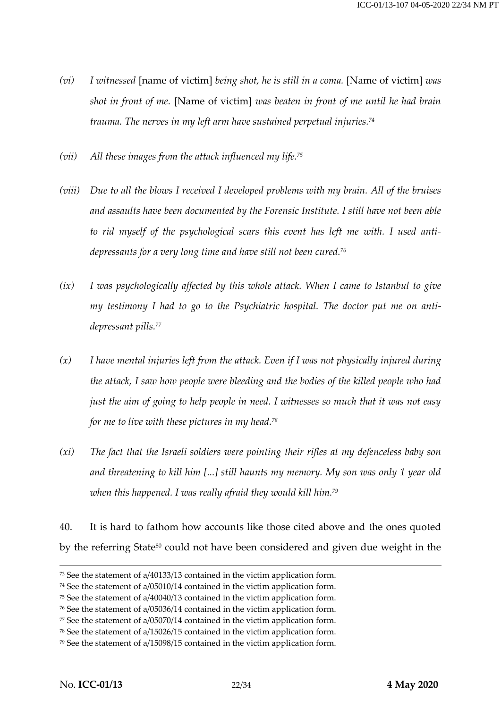- *(vi) I witnessed* [name of victim] *being shot, he is still in a coma.* [Name of victim] *was shot in front of me.* [Name of victim] *was beaten in front of me until he had brain trauma. The nerves in my left arm have sustained perpetual injuries.<sup>74</sup>*
- *(vii) All these images from the attack influenced my life.<sup>75</sup>*
- *(viii) Due to all the blows I received I developed problems with my brain. All of the bruises and assaults have been documented by the Forensic Institute. I still have not been able to rid myself of the psychological scars this event has left me with. I used antidepressants for a very long time and have still not been cured.<sup>76</sup>*
- *(ix) I was psychologically affected by this whole attack. When I came to Istanbul to give my testimony I had to go to the Psychiatric hospital. The doctor put me on antidepressant pills.<sup>77</sup>*
- *(x) I have mental injuries left from the attack. Even if I was not physically injured during the attack, I saw how people were bleeding and the bodies of the killed people who had just the aim of going to help people in need. I witnesses so much that it was not easy for me to live with these pictures in my head.<sup>78</sup>*
- *(xi) The fact that the Israeli soldiers were pointing their rifles at my defenceless baby son and threatening to kill him [...] still haunts my memory. My son was only 1 year old when this happened. I was really afraid they would kill him.<sup>79</sup>*

40. It is hard to fathom how accounts like those cited above and the ones quoted by the referring State<sup>80</sup> could not have been considered and given due weight in the

<sup>73</sup> See the statement of a/40133/13 contained in the victim application form.

<sup>74</sup> See the statement of a/05010/14 contained in the victim application form.

<sup>75</sup> See the statement of a/40040/13 contained in the victim application form.

<sup>76</sup> See the statement of a/05036/14 contained in the victim application form.

<sup>77</sup> See the statement of a/05070/14 contained in the victim application form.

<sup>78</sup> See the statement of a/15026/15 contained in the victim application form.

<sup>79</sup> See the statement of a/15098/15 contained in the victim application form.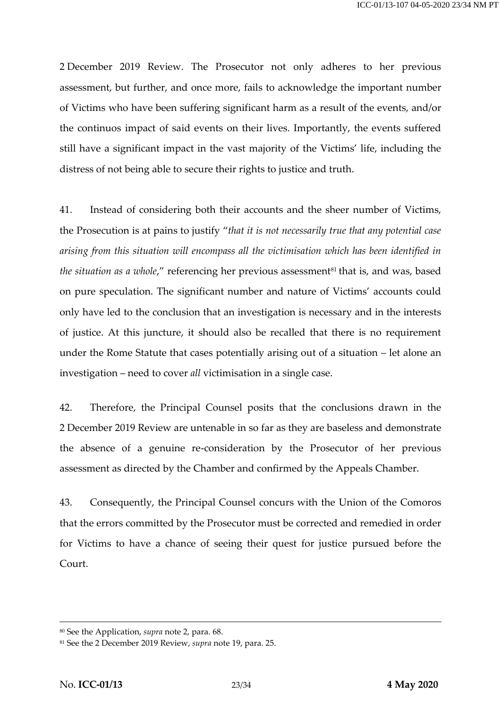2 December 2019 Review. The Prosecutor not only adheres to her previous assessment, but further, and once more, fails to acknowledge the important number of Victims who have been suffering significant harm as a result of the events, and/or the continuos impact of said events on their lives. Importantly, the events suffered still have a significant impact in the vast majority of the Victims' life, including the distress of not being able to secure their rights to justice and truth.

41. Instead of considering both their accounts and the sheer number of Victims, the Prosecution is at pains to justify "*that it is not necessarily true that any potential case arising from this situation will encompass all the victimisation which has been identified in the situation as a whole,"* referencing her previous assessment<sup>81</sup> that is, and was, based on pure speculation. The significant number and nature of Victims' accounts could only have led to the conclusion that an investigation is necessary and in the interests of justice. At this juncture, it should also be recalled that there is no requirement under the Rome Statute that cases potentially arising out of a situation – let alone an investigation – need to cover *all* victimisation in a single case.

42. Therefore, the Principal Counsel posits that the conclusions drawn in the 2 December 2019 Review are untenable in so far as they are baseless and demonstrate the absence of a genuine re-consideration by the Prosecutor of her previous assessment as directed by the Chamber and confirmed by the Appeals Chamber.

43. Consequently, the Principal Counsel concurs with the Union of the Comoros that the errors committed by the Prosecutor must be corrected and remedied in order for Victims to have a chance of seeing their quest for justice pursued before the Court.

<sup>80</sup> See the Application, *supra* not[e 2,](#page-2-0) para. 68.

<sup>81</sup> See the 2 December 2019 Review, *supra* not[e 19,](#page-7-0) para. 25.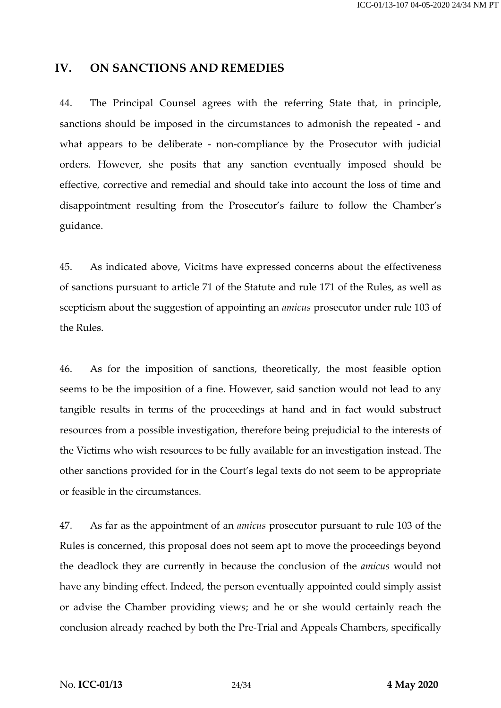#### **IV. ON SANCTIONS AND REMEDIES**

44. The Principal Counsel agrees with the referring State that, in principle, sanctions should be imposed in the circumstances to admonish the repeated - and what appears to be deliberate - non-compliance by the Prosecutor with judicial orders. However, she posits that any sanction eventually imposed should be effective, corrective and remedial and should take into account the loss of time and disappointment resulting from the Prosecutor's failure to follow the Chamber's guidance.

45. As indicated above, Vicitms have expressed concerns about the effectiveness of sanctions pursuant to article 71 of the Statute and rule 171 of the Rules, as well as scepticism about the suggestion of appointing an *amicus* prosecutor under rule 103 of the Rules.

46. As for the imposition of sanctions, theoretically, the most feasible option seems to be the imposition of a fine. However, said sanction would not lead to any tangible results in terms of the proceedings at hand and in fact would substruct resources from a possible investigation, therefore being prejudicial to the interests of the Victims who wish resources to be fully available for an investigation instead. The other sanctions provided for in the Court's legal texts do not seem to be appropriate or feasible in the circumstances.

47. As far as the appointment of an *amicus* prosecutor pursuant to rule 103 of the Rules is concerned, this proposal does not seem apt to move the proceedings beyond the deadlock they are currently in because the conclusion of the *amicus* would not have any binding effect. Indeed, the person eventually appointed could simply assist or advise the Chamber providing views; and he or she would certainly reach the conclusion already reached by both the Pre-Trial and Appeals Chambers, specifically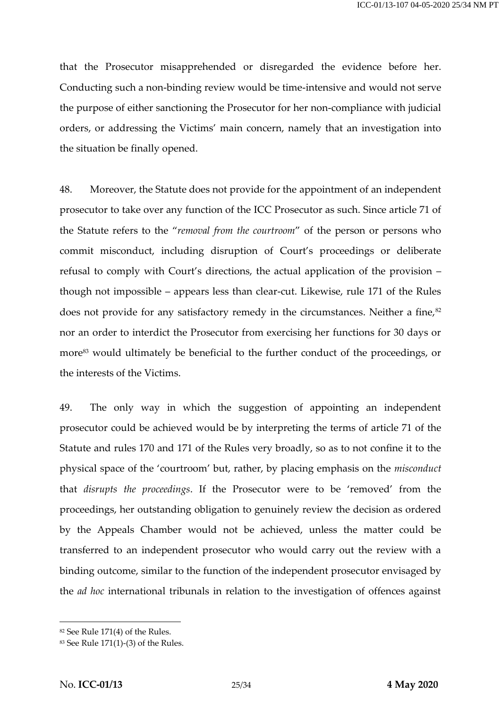that the Prosecutor misapprehended or disregarded the evidence before her. Conducting such a non-binding review would be time-intensive and would not serve the purpose of either sanctioning the Prosecutor for her non-compliance with judicial orders, or addressing the Victims' main concern, namely that an investigation into the situation be finally opened.

48. Moreover, the Statute does not provide for the appointment of an independent prosecutor to take over any function of the ICC Prosecutor as such. Since article 71 of the Statute refers to the "*removal from the courtroom*" of the person or persons who commit misconduct, including disruption of Court's proceedings or deliberate refusal to comply with Court's directions, the actual application of the provision – though not impossible – appears less than clear-cut. Likewise, rule 171 of the Rules does not provide for any satisfactory remedy in the circumstances. Neither a fine, $82$ nor an order to interdict the Prosecutor from exercising her functions for 30 days or more<sup>83</sup> would ultimately be beneficial to the further conduct of the proceedings, or the interests of the Victims.

49. The only way in which the suggestion of appointing an independent prosecutor could be achieved would be by interpreting the terms of article 71 of the Statute and rules 170 and 171 of the Rules very broadly, so as to not confine it to the physical space of the 'courtroom' but, rather, by placing emphasis on the *misconduct* that *disrupts the proceedings*. If the Prosecutor were to be 'removed' from the proceedings, her outstanding obligation to genuinely review the decision as ordered by the Appeals Chamber would not be achieved, unless the matter could be transferred to an independent prosecutor who would carry out the review with a binding outcome, similar to the function of the independent prosecutor envisaged by the *ad hoc* international tribunals in relation to the investigation of offences against

<sup>82</sup> See Rule 171(4) of the Rules.

 $83$  See Rule 171(1)-(3) of the Rules.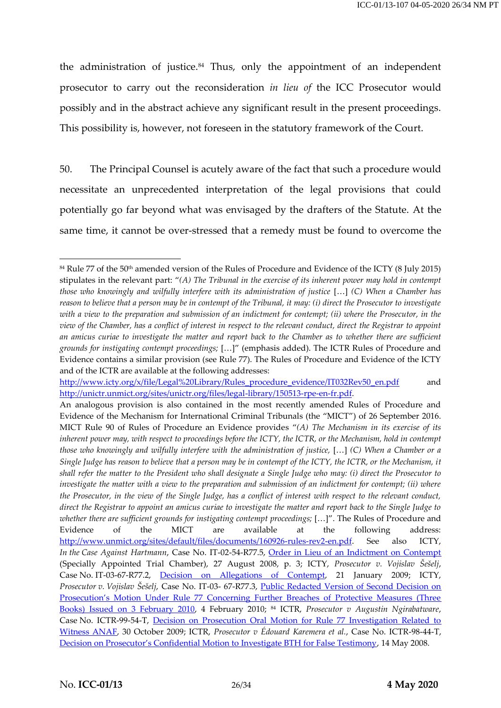the administration of justice. $84$  Thus, only the appointment of an independent prosecutor to carry out the reconsideration *in lieu of* the ICC Prosecutor would possibly and in the abstract achieve any significant result in the present proceedings. This possibility is, however, not foreseen in the statutory framework of the Court.

50. The Principal Counsel is acutely aware of the fact that such a procedure would necessitate an unprecedented interpretation of the legal provisions that could potentially go far beyond what was envisaged by the drafters of the Statute. At the same time, it cannot be over-stressed that a remedy must be found to overcome the

<sup>84</sup> Rule 77 of the 50th amended version of the Rules of Procedure and Evidence of the ICTY (8 July 2015) stipulates in the relevant part: "*(A) The Tribunal in the exercise of its inherent power may hold in contempt those who knowingly and wilfully interfere with its administration of justice* […] *(C) When a Chamber has reason to believe that a person may be in contempt of the Tribunal, it may: (i) direct the Prosecutor to investigate with a view to the preparation and submission of an indictment for contempt; (ii) where the Prosecutor, in the view of the Chamber, has a conflict of interest in respect to the relevant conduct, direct the Registrar to appoint an amicus curiae to investigate the matter and report back to the Chamber as to whether there are sufficient grounds for instigating contempt proceedings;* […]" (emphasis added). The ICTR Rules of Procedure and Evidence contains a similar provision (see Rule 77). The Rules of Procedure and Evidence of the ICTY and of the ICTR are available at the following addresses:

[http://www.icty.org/x/file/Legal%20Library/Rules\\_procedure\\_evidence/IT032Rev50\\_en.pdf](http://www.icty.org/x/file/Legal%20Library/Rules_procedure_evidence/IT032Rev50_en.pdf) and [http://unictr.unmict.org/sites/unictr.org/files/legal-library/150513-rpe-en-fr.pdf.](http://unictr.unmict.org/sites/unictr.org/files/legal-library/150513-rpe-en-fr.pdf)

An analogous provision is also contained in the most recently amended Rules of Procedure and Evidence of the Mechanism for International Criminal Tribunals (the "MICT") of 26 September 2016. MICT Rule 90 of Rules of Procedure an Evidence provides "*(A) The Mechanism in its exercise of its inherent power may, with respect to proceedings before the ICTY, the ICTR, or the Mechanism, hold in contempt those who knowingly and wilfully interfere with the administration of justice,* […] *(C) When a Chamber or a Single Judge has reason to believe that a person may be in contempt of the ICTY, the ICTR, or the Mechanism, it shall refer the matter to the President who shall designate a Single Judge who may: (i) direct the Prosecutor to investigate the matter with a view to the preparation and submission of an indictment for contempt; (ii) where the Prosecutor, in the view of the Single Judge, has a conflict of interest with respect to the relevant conduct, direct the Registrar to appoint an amicus curiae to investigate the matter and report back to the Single Judge to whether there are sufficient grounds for instigating contempt proceedings;* […]". The Rules of Procedure and Evidence of the MICT are available at the following address: [http://www.unmict.org/sites/default/files/documents/160926-rules-rev2-en.pdf.](http://www.unmict.org/sites/default/files/documents/160926-rules-rev2-en.pdf) See also ICTY, *In the Case Against Hartmann*, Case No. IT-02-54-R77.5, [Order in Lieu of an Indictment on Contempt](https://www.icty.org/x/cases/contempt_hartmann/ind/en/080827.pdf) (Specially Appointed Trial Chamber), 27 August 2008, p. 3; ICTY, *Prosecutor v. Vojislav Šešelj*, Case No. IT-03-67-R77.2, [Decision on Allegations of Contempt,](https://www.icty.org/x/cases/contempt_seselj/ind/en/090121.pdf) 21 January 2009; ICTY, *Prosecutor v. Vojislav Šešelj*, Case No. IT-03- 67-R77.3, [Public Redacted Version of Second Decision on](https://www.icty.org/x/cases/contempt_seselj2/tdec/en/100204.pdf)  [Prosecution's Motion Under Rule 77 Concerning Further Breaches of Protective Measures \(Three](https://www.icty.org/x/cases/contempt_seselj2/tdec/en/100204.pdf)  [Books\) Issued on 3 February 2010,](https://www.icty.org/x/cases/contempt_seselj2/tdec/en/100204.pdf) 4 February 2010; <sup>84</sup> ICTR, *Prosecutor v Augustin Ngirabatware*, Case No. ICTR-99-54-T, [Decision on Prosecution Oral Motion for Rule 77 Investigation Related to](http://www.worldcourts.com/ictr/eng/decisions/2009.10.30_Prosecutor_v_Ngirabatware.pdf#search=%22decision%20on%20prosecution%20oral%20motion%20for%20rule%2077%20investigation%20related%20to%20witness%20anaf%22)  [Witness ANAF,](http://www.worldcourts.com/ictr/eng/decisions/2009.10.30_Prosecutor_v_Ngirabatware.pdf#search=%22decision%20on%20prosecution%20oral%20motion%20for%20rule%2077%20investigation%20related%20to%20witness%20anaf%22) 30 October 2009; ICTR, *Prosecutor v Édouard Karemera et al.*, Case No. ICTR-98-44-T, [Decision on Prosecutor's Confidential Motion to Investigate BTH for False Testimony](http://www.worldcourts.com/ictr/eng/decisions/2008.05.14_Prosecutor_v_Karemera_2.pdf), 14 May 2008.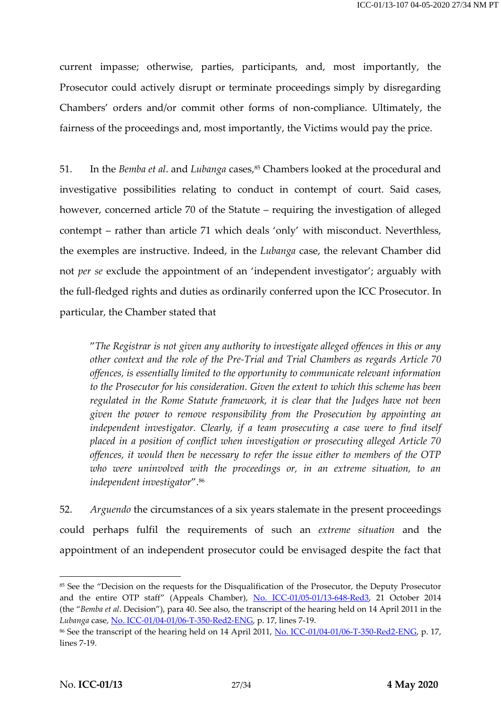current impasse; otherwise, parties, participants, and, most importantly, the Prosecutor could actively disrupt or terminate proceedings simply by disregarding Chambers' orders and/or commit other forms of non-compliance. Ultimately, the fairness of the proceedings and, most importantly, the Victims would pay the price.

51. In the *Bemba et al.* and *Lubanga* cases,<sup>85</sup> Chambers looked at the procedural and investigative possibilities relating to conduct in contempt of court. Said cases, however, concerned article 70 of the Statute – requiring the investigation of alleged contempt – rather than article 71 which deals 'only' with misconduct. Neverthless, the exemples are instructive. Indeed, in the *Lubanga* case, the relevant Chamber did not *per se* exclude the appointment of an 'independent investigator'; arguably with the full-fledged rights and duties as ordinarily conferred upon the ICC Prosecutor. In particular, the Chamber stated that

"*The Registrar is not given any authority to investigate alleged offences in this or any other context and the role of the Pre-Trial and Trial Chambers as regards Article 70 offences, is essentially limited to the opportunity to communicate relevant information to the Prosecutor for his consideration. Given the extent to which this scheme has been regulated in the Rome Statute framework, it is clear that the Judges have not been given the power to remove responsibility from the Prosecution by appointing an*  independent investigator. Clearly, if a team prosecuting a case were to find itself *placed in a position of conflict when investigation or prosecuting alleged Article 70 offences, it would then be necessary to refer the issue either to members of the OTP who were uninvolved with the proceedings or, in an extreme situation, to an independent investigator*". 86

52. *Arguendo* the circumstances of a six years stalemate in the present proceedings could perhaps fulfil the requirements of such an *extreme situation* and the appointment of an independent prosecutor could be envisaged despite the fact that

<sup>&</sup>lt;sup>85</sup> See the "Decision on the requests for the Disqualification of the Prosecutor, the Deputy Prosecutor and the entire OTP staff" (Appeals Chamber), [No. ICC-01/05-01/13-648-Red3,](https://www.icc-cpi.int/CourtRecords/CR2014_08931.PDF) 21 October 2014 (the "*Bemba et al*. Decision"), para 40. See also, the transcript of the hearing held on 14 April 2011 in the *Lubanga* case, [No. ICC-01/04-01/06-T-350-Red2-ENG,](https://www.icc-cpi.int/Transcripts/CR2012_04528.PDF) p. 17, lines 7-19.

<sup>&</sup>lt;sup>86</sup> See the transcript of the hearing held on 14 April 2011, [No. ICC-01/04-01/06-T-350-Red2-ENG,](https://www.icc-cpi.int/Transcripts/CR2012_04528.PDF) p. 17, lines 7-19.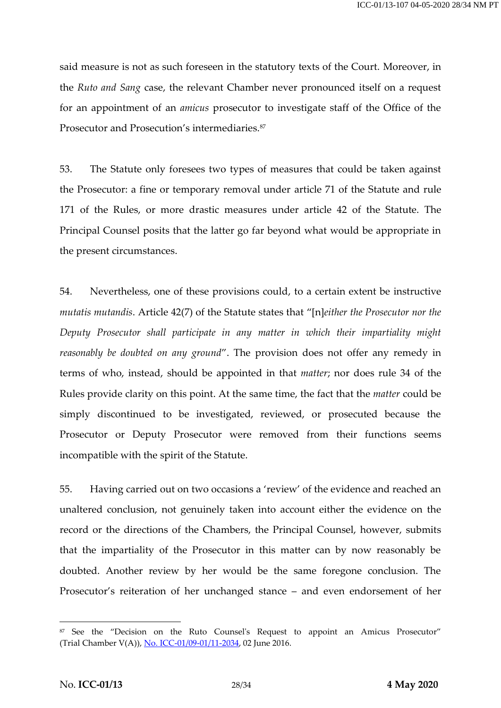said measure is not as such foreseen in the statutory texts of the Court. Moreover, in the *Ruto and Sang* case, the relevant Chamber never pronounced itself on a request for an appointment of an *amicus* prosecutor to investigate staff of the Office of the Prosecutor and Prosecution's intermediaries.<sup>87</sup>

53. The Statute only foresees two types of measures that could be taken against the Prosecutor: a fine or temporary removal under article 71 of the Statute and rule 171 of the Rules, or more drastic measures under article 42 of the Statute. The Principal Counsel posits that the latter go far beyond what would be appropriate in the present circumstances.

54. Nevertheless, one of these provisions could, to a certain extent be instructive *mutatis mutandis*. Article 42(7) of the Statute states that "[n]*either the Prosecutor nor the Deputy Prosecutor shall participate in any matter in which their impartiality might reasonably be doubted on any ground*". The provision does not offer any remedy in terms of who, instead, should be appointed in that *matter*; nor does rule 34 of the Rules provide clarity on this point. At the same time, the fact that the *matter* could be simply discontinued to be investigated, reviewed, or prosecuted because the Prosecutor or Deputy Prosecutor were removed from their functions seems incompatible with the spirit of the Statute.

55. Having carried out on two occasions a 'review' of the evidence and reached an unaltered conclusion, not genuinely taken into account either the evidence on the record or the directions of the Chambers, the Principal Counsel, however, submits that the impartiality of the Prosecutor in this matter can by now reasonably be doubted. Another review by her would be the same foregone conclusion. The Prosecutor's reiteration of her unchanged stance – and even endorsement of her

<sup>87</sup> See the "Decision on the Ruto Counsel's Request to appoint an Amicus Prosecutor" (Trial Chamber V(A)), [No. ICC-01/09-01/11-2034,](https://www.icc-cpi.int/CourtRecords/CR2016_04043.PDF) 02 June 2016.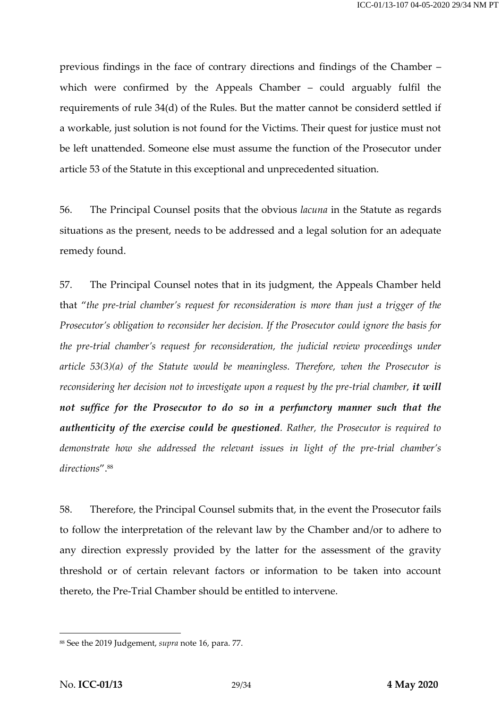previous findings in the face of contrary directions and findings of the Chamber – which were confirmed by the Appeals Chamber – could arguably fulfil the requirements of rule 34(d) of the Rules. But the matter cannot be considerd settled if a workable, just solution is not found for the Victims. Their quest for justice must not be left unattended. Someone else must assume the function of the Prosecutor under article 53 of the Statute in this exceptional and unprecedented situation.

56. The Principal Counsel posits that the obvious *lacuna* in the Statute as regards situations as the present, needs to be addressed and a legal solution for an adequate remedy found.

57. The Principal Counsel notes that in its judgment, the Appeals Chamber held that "*the pre-trial chamber's request for reconsideration is more than just a trigger of the Prosecutor's obligation to reconsider her decision. If the Prosecutor could ignore the basis for the pre-trial chamber's request for reconsideration, the judicial review proceedings under article 53(3)(a) of the Statute would be meaningless. Therefore, when the Prosecutor is reconsidering her decision not to investigate upon a request by the pre-trial chamber, it will not suffice for the Prosecutor to do so in a perfunctory manner such that the authenticity of the exercise could be questioned. Rather, the Prosecutor is required to demonstrate how she addressed the relevant issues in light of the pre-trial chamber's directions*". 88

58. Therefore, the Principal Counsel submits that, in the event the Prosecutor fails to follow the interpretation of the relevant law by the Chamber and/or to adhere to any direction expressly provided by the latter for the assessment of the gravity threshold or of certain relevant factors or information to be taken into account thereto, the Pre-Trial Chamber should be entitled to intervene.

<sup>88</sup> See the 2019 Judgement, *supra* note [16,](#page-6-0) para. 77.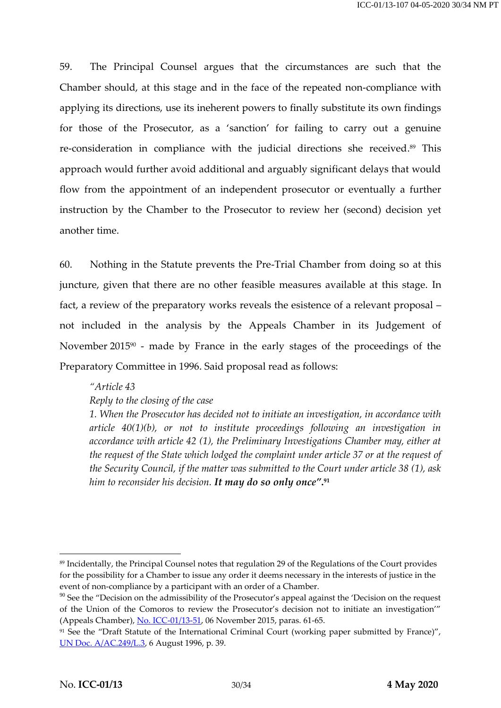59. The Principal Counsel argues that the circumstances are such that the Chamber should, at this stage and in the face of the repeated non-compliance with applying its directions, use its ineherent powers to finally substitute its own findings for those of the Prosecutor, as a 'sanction' for failing to carry out a genuine re-consideration in compliance with the judicial directions she received. <sup>89</sup> This approach would further avoid additional and arguably significant delays that would flow from the appointment of an independent prosecutor or eventually a further instruction by the Chamber to the Prosecutor to review her (second) decision yet another time.

60. Nothing in the Statute prevents the Pre-Trial Chamber from doing so at this juncture, given that there are no other feasible measures available at this stage. In fact, a review of the preparatory works reveals the esistence of a relevant proposal – not included in the analysis by the Appeals Chamber in its Judgement of November 2015<sup>90</sup> - made by France in the early stages of the proceedings of the Preparatory Committee in 1996. Said proposal read as follows:

# *"Article 43 Reply to the closing of the case*

*1. When the Prosecutor has decided not to initiate an investigation, in accordance with article 40(1)(b), or not to institute proceedings following an investigation in accordance with article 42 (1), the Preliminary Investigations Chamber may, either at the request of the State which lodged the complaint under article 37 or at the request of the Security Council, if the matter was submitted to the Court under article 38 (1), ask him to reconsider his decision. It may do so only once"***. 91**

 $\overline{\phantom{a}}$ 

<sup>89</sup> Incidentally, the Principal Counsel notes that regulation 29 of the Regulations of the Court provides for the possibility for a Chamber to issue any order it deems necessary in the interests of justice in the event of non-compliance by a participant with an order of a Chamber.

 $90$  See the "Decision on the admissibility of the Prosecutor's appeal against the 'Decision on the request of the Union of the Comoros to review the Prosecutor's decision not to initiate an investigation'" (Appeals Chamber), [No. ICC-01/13-51,](https://www.icc-cpi.int/CourtRecords/CR2015_20965.PDF) 06 November 2015, paras. 61-65.

<sup>&</sup>lt;sup>91</sup> See the "Draft Statute of the International Criminal Court (working paper submitted by France)", [UN Doc. A/AC.249/L.3,](https://www.legal-tools.org/doc/4d28ee/pdf) 6 August 1996, p. 39.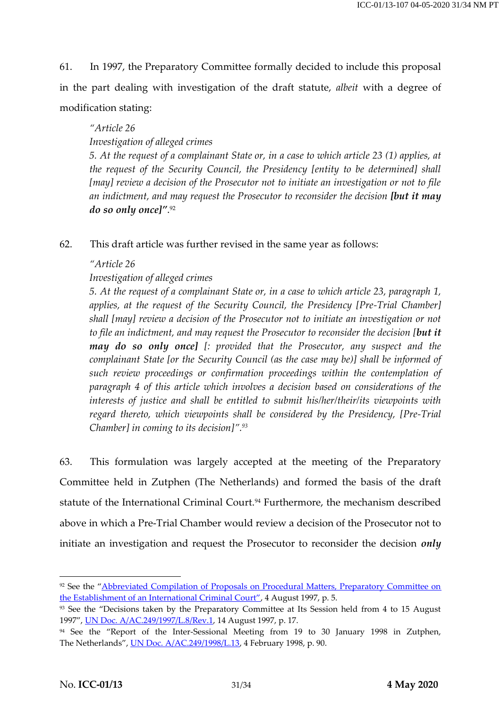61. In 1997, the Preparatory Committee formally decided to include this proposal in the part dealing with investigation of the draft statute, *albeit* with a degree of modification stating:

#### *"Article 26*

*Investigation of alleged crimes*

*5. At the request of a complainant State or, in a case to which article 23 (1) applies, at the request of the Security Council, the Presidency [entity to be determined] shall [may] review a decision of the Prosecutor not to initiate an investigation or not to file*  an indictment, and may request the Prosecutor to reconsider the decision *[but it may do so only once]"*. 92

62. This draft article was further revised in the same year as follows:

#### *"Article 26*

#### *Investigation of alleged crimes*

*5. At the request of a complainant State or, in a case to which article 23, paragraph 1, applies, at the request of the Security Council, the Presidency [Pre-Trial Chamber] shall [may] review a decision of the Prosecutor not to initiate an investigation or not to file an indictment, and may request the Prosecutor to reconsider the decision [but it may do so only once] [: provided that the Prosecutor, any suspect and the complainant State [or the Security Council (as the case may be)] shall be informed of such review proceedings or confirmation proceedings within the contemplation of paragraph 4 of this article which involves a decision based on considerations of the interests of justice and shall be entitled to submit his/her/their/its viewpoints with regard thereto, which viewpoints shall be considered by the Presidency, [Pre-Trial Chamber] in coming to its decision]". 93*

63. This formulation was largely accepted at the meeting of the Preparatory Committee held in Zutphen (The Netherlands) and formed the basis of the draft statute of the International Criminal Court.<sup>94</sup> Furthermore, the mechanism described above in which a Pre-Trial Chamber would review a decision of the Prosecutor not to initiate an investigation and request the Prosecutor to reconsider the decision *only* 

<sup>&</sup>lt;sup>92</sup> See the "Abbreviated Compilation of Proposals on Procedural Matters, Preparatory Committee on the Establishment of an [International Criminal Court"](https://www.legal-tools.org/doc/30409e/pdf), 4 August 1997, p. 5.

<sup>93</sup> See the "Decisions taken by the Preparatory Committee at Its Session held from 4 to 15 August 1997", [UN Doc. A/AC.249/1997/L.8/Rev.1,](http://www.iccnow.org/documents/DecisionsTaken14Aug97.pdf) 14 August 1997, p. 17.

<sup>94</sup> See the "Report of the Inter-Sessional Meeting from 19 to 30 January 1998 in Zutphen, The Netherlands", [UN Doc. A/AC.249/1998/L.13,](https://www.legal-tools.org/doc/7ba9a4/pdf/) 4 February 1998, p. 90.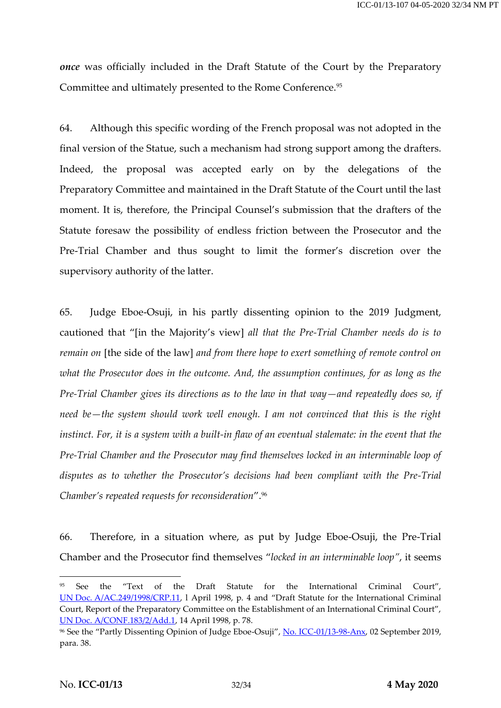*once* was officially included in the Draft Statute of the Court by the Preparatory Committee and ultimately presented to the Rome Conference.<sup>95</sup>

64. Although this specific wording of the French proposal was not adopted in the final version of the Statue, such a mechanism had strong support among the drafters. Indeed, the proposal was accepted early on by the delegations of the Preparatory Committee and maintained in the Draft Statute of the Court until the last moment. It is, therefore, the Principal Counsel's submission that the drafters of the Statute foresaw the possibility of endless friction between the Prosecutor and the Pre-Trial Chamber and thus sought to limit the former's discretion over the supervisory authority of the latter.

65. Judge Eboe-Osuji, in his partly dissenting opinion to the 2019 Judgment, cautioned that "[in the Majority's view] *all that the Pre-Trial Chamber needs do is to remain on* [the side of the law] *and from there hope to exert something of remote control on what the Prosecutor does in the outcome. And, the assumption continues, for as long as the Pre-Trial Chamber gives its directions as to the law in that way—and repeatedly does so, if need be—the system should work well enough. I am not convinced that this is the right instinct. For, it is a system with a built-in flaw of an eventual stalemate: in the event that the Pre-Trial Chamber and the Prosecutor may find themselves locked in an interminable loop of disputes as to whether the Prosecutor's decisions had been compliant with the Pre-Trial Chamber's repeated requests for reconsideration*". 96

66. Therefore, in a situation where, as put by Judge Eboe-Osuji, the Pre-Trial Chamber and the Prosecutor find themselves "*locked in an interminable loop"*, it seems

<sup>95</sup> See the "Text of the Draft Statute for the International Criminal Court", UN Doc. [A/AC.249/1998/CRP.11](https://legal.un.org/icc/rome/proceedings/E/Rome%20Proceedings_v3_e.pdf), l April 1998, p. 4 and "Draft Statute for the International Criminal Court, Report of the Preparatory Committee on the Establishment of an International Criminal Court", [UN Doc. A/CONF.183/2/Add.1,](https://documents-dds-ny.un.org/doc/UNDOC/GEN/N98/101/05/PDF/N9810105.pdf?OpenElement) 14 April 1998, p. 78.

<sup>&</sup>lt;sup>96</sup> See the "Partly Dissenting Opinion of Judge Eboe-Osuji", [No. ICC-01/13-98-Anx,](https://www.icc-cpi.int/RelatedRecords/CR2019_04887.PDF) 02 September 2019, para. 38.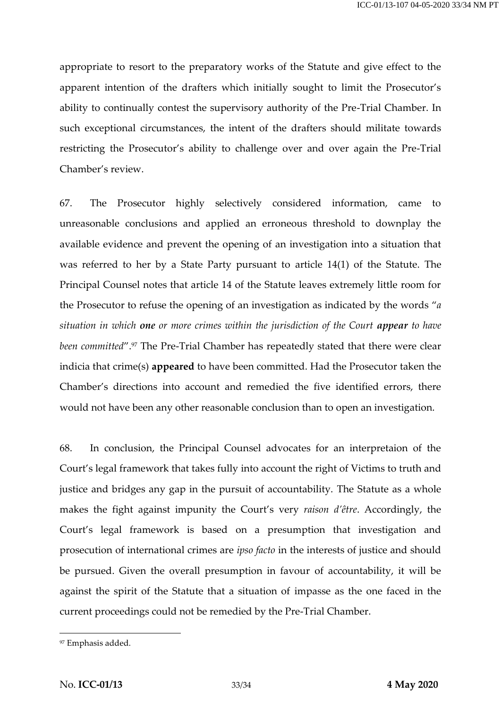appropriate to resort to the preparatory works of the Statute and give effect to the apparent intention of the drafters which initially sought to limit the Prosecutor's ability to continually contest the supervisory authority of the Pre-Trial Chamber. In such exceptional circumstances, the intent of the drafters should militate towards restricting the Prosecutor's ability to challenge over and over again the Pre-Trial Chamber's review.

67. The Prosecutor highly selectively considered information, came to unreasonable conclusions and applied an erroneous threshold to downplay the available evidence and prevent the opening of an investigation into a situation that was referred to her by a State Party pursuant to article 14(1) of the Statute. The Principal Counsel notes that article 14 of the Statute leaves extremely little room for the Prosecutor to refuse the opening of an investigation as indicated by the words "*a situation in which one or more crimes within the jurisdiction of the Court appear to have been committed".<sup>97</sup>* The Pre-Trial Chamber has repeatedly stated that there were clear indicia that crime(s) **appeared** to have been committed. Had the Prosecutor taken the Chamber's directions into account and remedied the five identified errors, there would not have been any other reasonable conclusion than to open an investigation.

68. In conclusion, the Principal Counsel advocates for an interpretaion of the Court's legal framework that takes fully into account the right of Victims to truth and justice and bridges any gap in the pursuit of accountability. The Statute as a whole makes the fight against impunity the Court's very *raison d'être*. Accordingly, the Court's legal framework is based on a presumption that investigation and prosecution of international crimes are *ipso facto* in the interests of justice and should be pursued. Given the overall presumption in favour of accountability, it will be against the spirit of the Statute that a situation of impasse as the one faced in the current proceedings could not be remedied by the Pre-Trial Chamber.

<sup>97</sup> Emphasis added.